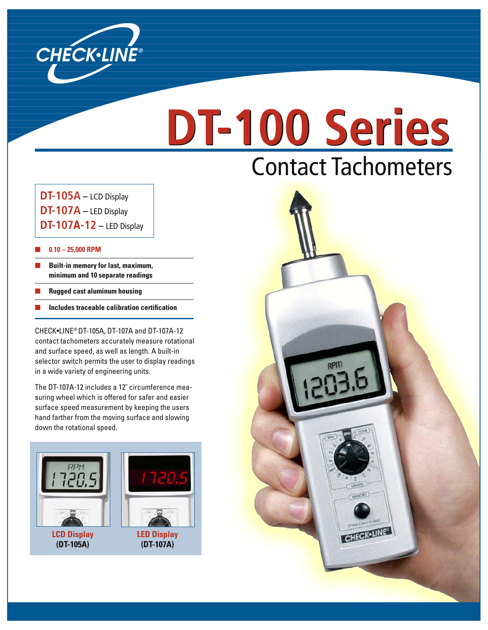

## **DT-100 Series DT-100 Series** Contact Tachometers

 **DT-105A –** LCD Display **DT-107A –** LED Display **DT-107A-12 –** LED Display

#### ■ **0.10 – 25,000 RPM**

- **Built-in memory for last, maximum, minimum and 10 separate readings**
- **Rugged cast aluminum housing**
- **Includes traceable calibration certification**

 CHECK•LINE® DT-105A, DT-107A and DT-107A-12 contact tachometers accurately measure rotational and surface speed, as well as length. A built-in selector switch permits the user to display readings in a wide variety of engineering units.

The DT-107A-12 includes a 12" circumference measuring wheel which is offered for safer and easier surface speed measurement by keeping the users hand farther from the moving surface and slowing down the rotational speed.